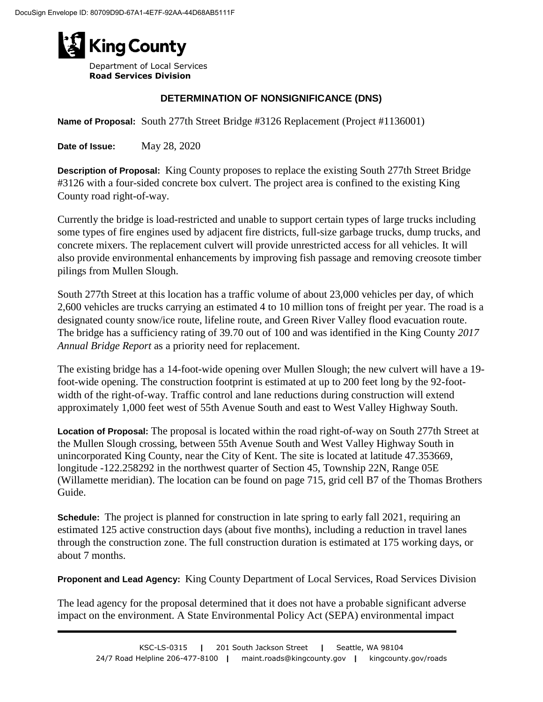

Department of Local Services **Road Services Division**

## **DETERMINATION OF NONSIGNIFICANCE (DNS)**

**Name of Proposal:** South 277th Street Bridge #3126 Replacement (Project #1136001)

**Date of Issue:** May 28, 2020

**Description of Proposal:** King County proposes to replace the existing South 277th Street Bridge #3126 with a four-sided concrete box culvert. The project area is confined to the existing King County road right-of-way.

Currently the bridge is load-restricted and unable to support certain types of large trucks including some types of fire engines used by adjacent fire districts, full-size garbage trucks, dump trucks, and concrete mixers. The replacement culvert will provide unrestricted access for all vehicles. It will also provide environmental enhancements by improving fish passage and removing creosote timber pilings from Mullen Slough.

South 277th Street at this location has a traffic volume of about 23,000 vehicles per day, of which 2,600 vehicles are trucks carrying an estimated 4 to 10 million tons of freight per year. The road is a designated county snow/ice route, lifeline route, and Green River Valley flood evacuation route. The bridge has a sufficiency rating of 39.70 out of 100 and was identified in the King County *2017 Annual Bridge Report* as a priority need for replacement.

The existing bridge has a 14-foot-wide opening over Mullen Slough; the new culvert will have a 19 foot-wide opening. The construction footprint is estimated at up to 200 feet long by the 92-footwidth of the right-of-way. Traffic control and lane reductions during construction will extend approximately 1,000 feet west of 55th Avenue South and east to West Valley Highway South.

**Location of Proposal:** The proposal is located within the road right-of-way on South 277th Street at the Mullen Slough crossing, between 55th Avenue South and West Valley Highway South in unincorporated King County, near the City of Kent. The site is located at latitude 47.353669, longitude -122.258292 in the northwest quarter of Section 45, Township 22N, Range 05E (Willamette meridian). The location can be found on page 715, grid cell B7 of the Thomas Brothers Guide.

**Schedule:** The project is planned for construction in late spring to early fall 2021, requiring an estimated 125 active construction days (about five months), including a reduction in travel lanes through the construction zone. The full construction duration is estimated at 175 working days, or about 7 months.

**Proponent and Lead Agency:** King County Department of Local Services, Road Services Division

The lead agency for the proposal determined that it does not have a probable significant adverse impact on the environment. A State Environmental Policy Act (SEPA) environmental impact